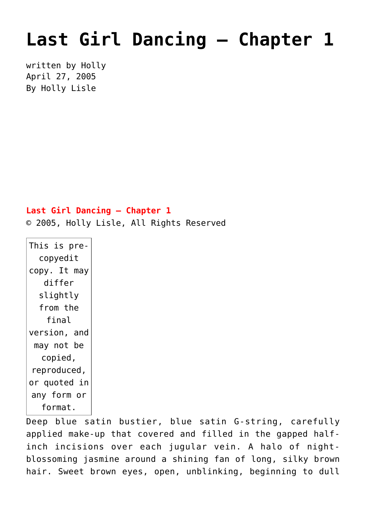## **[Last Girl Dancing — Chapter 1](https://hollylisle.com/last-girl-dancing-chapter-1/)**

written by Holly April 27, 2005 [By Holly Lisle](https://hollylisle.com)

**Last Girl Dancing — Chapter 1** © 2005, Holly Lisle, All Rights Reserved

This is precopyedit copy. It may differ slightly from the final version, and may not be copied, reproduced, or quoted in any form or format.

Deep blue satin bustier, blue satin G-string, carefully applied make-up that covered and filled in the gapped halfinch incisions over each jugular vein. A halo of nightblossoming jasmine around a shining fan of long, silky brown hair. Sweet brown eyes, open, unblinking, beginning to dull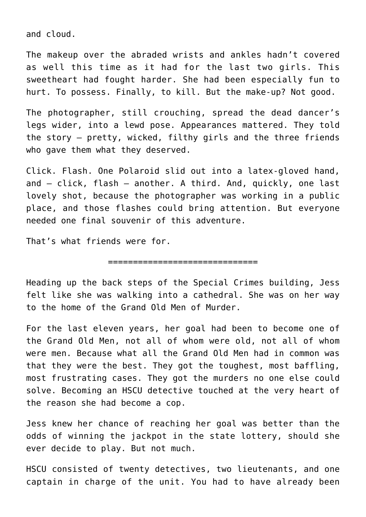and cloud.

The makeup over the abraded wrists and ankles hadn't covered as well this time as it had for the last two girls. This sweetheart had fought harder. She had been especially fun to hurt. To possess. Finally, to kill. But the make-up? Not good.

The photographer, still crouching, spread the dead dancer's legs wider, into a lewd pose. Appearances mattered. They told the story — pretty, wicked, filthy girls and the three friends who gave them what they deserved.

Click. Flash. One Polaroid slid out into a latex-gloved hand, and — click, flash — another. A third. And, quickly, one last lovely shot, because the photographer was working in a public place, and those flashes could bring attention. But everyone needed one final souvenir of this adventure.

That's what friends were for.

Heading up the back steps of the Special Crimes building, Jess felt like she was walking into a cathedral. She was on her way to the home of the Grand Old Men of Murder.

==============================

For the last eleven years, her goal had been to become one of the Grand Old Men, not all of whom were old, not all of whom were men. Because what all the Grand Old Men had in common was that they were the best. They got the toughest, most baffling, most frustrating cases. They got the murders no one else could solve. Becoming an HSCU detective touched at the very heart of the reason she had become a cop.

Jess knew her chance of reaching her goal was better than the odds of winning the jackpot in the state lottery, should she ever decide to play. But not much.

HSCU consisted of twenty detectives, two lieutenants, and one captain in charge of the unit. You had to have already been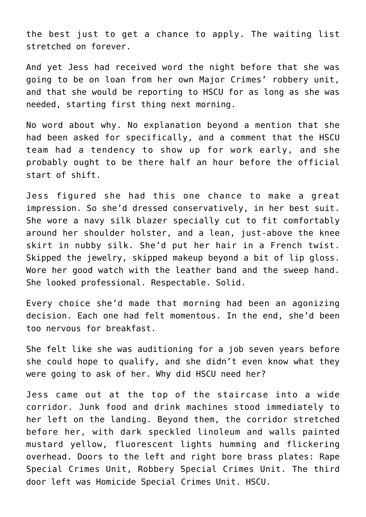the best just to get a chance to apply. The waiting list stretched on forever.

And yet Jess had received word the night before that she was going to be on loan from her own Major Crimes' robbery unit, and that she would be reporting to HSCU for as long as she was needed, starting first thing next morning.

No word about why. No explanation beyond a mention that she had been asked for specifically, and a comment that the HSCU team had a tendency to show up for work early, and she probably ought to be there half an hour before the official start of shift.

Jess figured she had this one chance to make a great impression. So she'd dressed conservatively, in her best suit. She wore a navy silk blazer specially cut to fit comfortably around her shoulder holster, and a lean, just-above the knee skirt in nubby silk. She'd put her hair in a French twist. Skipped the jewelry, skipped makeup beyond a bit of lip gloss. Wore her good watch with the leather band and the sweep hand. She looked professional. Respectable. Solid.

Every choice she'd made that morning had been an agonizing decision. Each one had felt momentous. In the end, she'd been too nervous for breakfast.

She felt like she was auditioning for a job seven years before she could hope to qualify, and she didn't even know what they were going to ask of her. Why did HSCU need her?

Jess came out at the top of the staircase into a wide corridor. Junk food and drink machines stood immediately to her left on the landing. Beyond them, the corridor stretched before her, with dark speckled linoleum and walls painted mustard yellow, fluorescent lights humming and flickering overhead. Doors to the left and right bore brass plates: Rape Special Crimes Unit, Robbery Special Crimes Unit. The third door left was Homicide Special Crimes Unit. HSCU.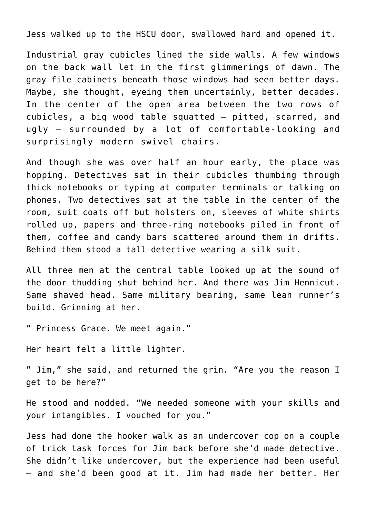Jess walked up to the HSCU door, swallowed hard and opened it.

Industrial gray cubicles lined the side walls. A few windows on the back wall let in the first glimmerings of dawn. The gray file cabinets beneath those windows had seen better days. Maybe, she thought, eyeing them uncertainly, better decades. In the center of the open area between the two rows of cubicles, a big wood table squatted — pitted, scarred, and ugly — surrounded by a lot of comfortable-looking and surprisingly modern swivel chairs.

And though she was over half an hour early, the place was hopping. Detectives sat in their cubicles thumbing through thick notebooks or typing at computer terminals or talking on phones. Two detectives sat at the table in the center of the room, suit coats off but holsters on, sleeves of white shirts rolled up, papers and three-ring notebooks piled in front of them, coffee and candy bars scattered around them in drifts. Behind them stood a tall detective wearing a silk suit.

All three men at the central table looked up at the sound of the door thudding shut behind her. And there was Jim Hennicut. Same shaved head. Same military bearing, same lean runner's build. Grinning at her.

" Princess Grace. We meet again."

Her heart felt a little lighter.

" Jim," she said, and returned the grin. "Are you the reason I get to be here?"

He stood and nodded. "We needed someone with your skills and your intangibles. I vouched for you."

Jess had done the hooker walk as an undercover cop on a couple of trick task forces for Jim back before she'd made detective. She didn't like undercover, but the experience had been useful — and she'd been good at it. Jim had made her better. Her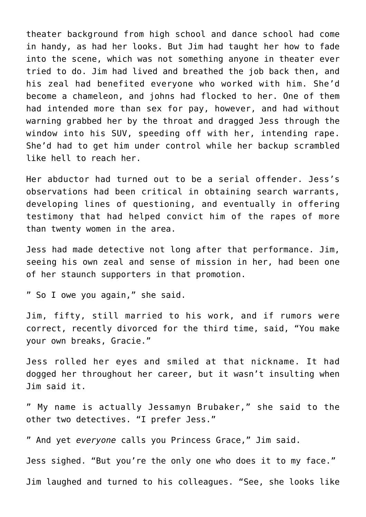theater background from high school and dance school had come in handy, as had her looks. But Jim had taught her how to fade into the scene, which was not something anyone in theater ever tried to do. Jim had lived and breathed the job back then, and his zeal had benefited everyone who worked with him. She'd become a chameleon, and johns had flocked to her. One of them had intended more than sex for pay, however, and had without warning grabbed her by the throat and dragged Jess through the window into his SUV, speeding off with her, intending rape. She'd had to get him under control while her backup scrambled like hell to reach her.

Her abductor had turned out to be a serial offender. Jess's observations had been critical in obtaining search warrants, developing lines of questioning, and eventually in offering testimony that had helped convict him of the rapes of more than twenty women in the area.

Jess had made detective not long after that performance. Jim, seeing his own zeal and sense of mission in her, had been one of her staunch supporters in that promotion.

" So I owe you again," she said.

Jim, fifty, still married to his work, and if rumors were correct, recently divorced for the third time, said, "You make your own breaks, Gracie."

Jess rolled her eyes and smiled at that nickname. It had dogged her throughout her career, but it wasn't insulting when Jim said it.

" My name is actually Jessamyn Brubaker," she said to the other two detectives. "I prefer Jess."

" And yet *everyone* calls you Princess Grace," Jim said.

Jess sighed. "But you're the only one who does it to my face."

Jim laughed and turned to his colleagues. "See, she looks like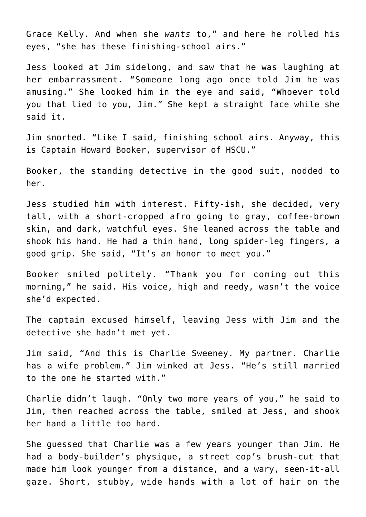Grace Kelly. And when she *wants* to," and here he rolled his eyes, "she has these finishing-school airs."

Jess looked at Jim sidelong, and saw that he was laughing at her embarrassment. "Someone long ago once told Jim he was amusing." She looked him in the eye and said, "Whoever told you that lied to you, Jim." She kept a straight face while she said it.

Jim snorted. "Like I said, finishing school airs. Anyway, this is Captain Howard Booker, supervisor of HSCU."

Booker, the standing detective in the good suit, nodded to her.

Jess studied him with interest. Fifty-ish, she decided, very tall, with a short-cropped afro going to gray, coffee-brown skin, and dark, watchful eyes. She leaned across the table and shook his hand. He had a thin hand, long spider-leg fingers, a good grip. She said, "It's an honor to meet you."

Booker smiled politely. "Thank you for coming out this morning," he said. His voice, high and reedy, wasn't the voice she'd expected.

The captain excused himself, leaving Jess with Jim and the detective she hadn't met yet.

Jim said, "And this is Charlie Sweeney. My partner. Charlie has a wife problem." Jim winked at Jess. "He's still married to the one he started with."

Charlie didn't laugh. "Only two more years of you," he said to Jim, then reached across the table, smiled at Jess, and shook her hand a little too hard.

She guessed that Charlie was a few years younger than Jim. He had a body-builder's physique, a street cop's brush-cut that made him look younger from a distance, and a wary, seen-it-all gaze. Short, stubby, wide hands with a lot of hair on the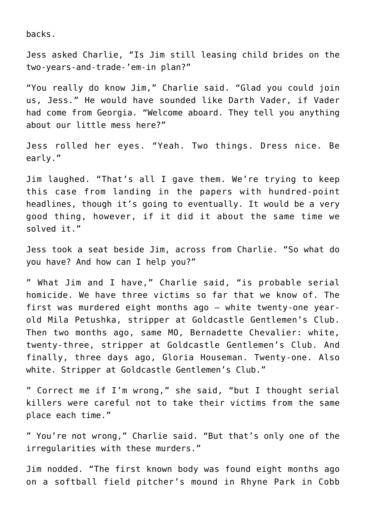backs.

Jess asked Charlie, "Is Jim still leasing child brides on the two-years-and-trade-'em-in plan?"

"You really do know Jim," Charlie said. "Glad you could join us, Jess." He would have sounded like Darth Vader, if Vader had come from Georgia. "Welcome aboard. They tell you anything about our little mess here?"

Jess rolled her eyes. "Yeah. Two things. Dress nice. Be early."

Jim laughed. "That's all I gave them. We're trying to keep this case from landing in the papers with hundred-point headlines, though it's going to eventually. It would be a very good thing, however, if it did it about the same time we solved it."

Jess took a seat beside Jim, across from Charlie. "So what do you have? And how can I help you?"

" What Jim and I have," Charlie said, "is probable serial homicide. We have three victims so far that we know of. The first was murdered eight months ago — white twenty-one yearold Mila Petushka, stripper at Goldcastle Gentlemen's Club. Then two months ago, same MO, Bernadette Chevalier: white, twenty-three, stripper at Goldcastle Gentlemen's Club. And finally, three days ago, Gloria Houseman. Twenty-one. Also white. Stripper at Goldcastle Gentlemen's Club."

" Correct me if I'm wrong," she said, "but I thought serial killers were careful not to take their victims from the same place each time."

" You're not wrong," Charlie said. "But that's only one of the irregularities with these murders."

Jim nodded. "The first known body was found eight months ago on a softball field pitcher's mound in Rhyne Park in Cobb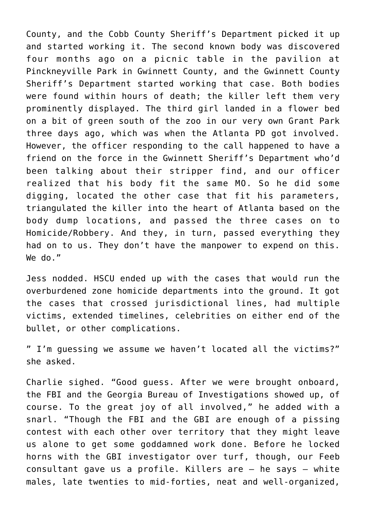County, and the Cobb County Sheriff's Department picked it up and started working it. The second known body was discovered four months ago on a picnic table in the pavilion at Pinckneyville Park in Gwinnett County, and the Gwinnett County Sheriff's Department started working that case. Both bodies were found within hours of death; the killer left them very prominently displayed. The third girl landed in a flower bed on a bit of green south of the zoo in our very own Grant Park three days ago, which was when the Atlanta PD got involved. However, the officer responding to the call happened to have a friend on the force in the Gwinnett Sheriff's Department who'd been talking about their stripper find, and our officer realized that his body fit the same MO. So he did some digging, located the other case that fit his parameters, triangulated the killer into the heart of Atlanta based on the body dump locations, and passed the three cases on to Homicide/Robbery. And they, in turn, passed everything they had on to us. They don't have the manpower to expend on this. We do."

Jess nodded. HSCU ended up with the cases that would run the overburdened zone homicide departments into the ground. It got the cases that crossed jurisdictional lines, had multiple victims, extended timelines, celebrities on either end of the bullet, or other complications.

" I'm guessing we assume we haven't located all the victims?" she asked.

Charlie sighed. "Good guess. After we were brought onboard, the FBI and the Georgia Bureau of Investigations showed up, of course. To the great joy of all involved," he added with a snarl. "Though the FBI and the GBI are enough of a pissing contest with each other over territory that they might leave us alone to get some goddamned work done. Before he locked horns with the GBI investigator over turf, though, our Feeb consultant gave us a profile. Killers are — he says — white males, late twenties to mid-forties, neat and well-organized,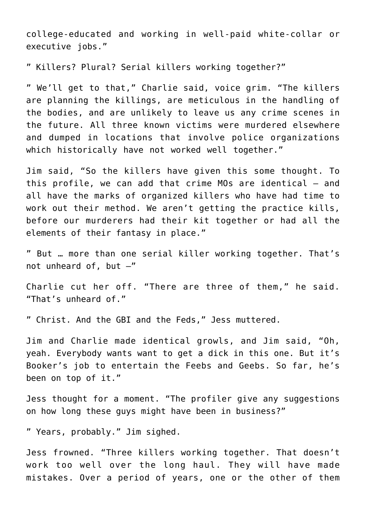college-educated and working in well-paid white-collar or executive jobs."

" Killers? Plural? Serial killers working together?"

" We'll get to that," Charlie said, voice grim. "The killers are planning the killings, are meticulous in the handling of the bodies, and are unlikely to leave us any crime scenes in the future. All three known victims were murdered elsewhere and dumped in locations that involve police organizations which historically have not worked well together."

Jim said, "So the killers have given this some thought. To this profile, we can add that crime MOs are identical — and all have the marks of organized killers who have had time to work out their method. We aren't getting the practice kills, before our murderers had their kit together or had all the elements of their fantasy in place."

" But … more than one serial killer working together. That's not unheard of, but  $-$ "

Charlie cut her off. "There are three of them," he said. "That's unheard of."

" Christ. And the GBI and the Feds," Jess muttered.

Jim and Charlie made identical growls, and Jim said, "Oh, yeah. Everybody wants want to get a dick in this one. But it's Booker's job to entertain the Feebs and Geebs. So far, he's been on top of it."

Jess thought for a moment. "The profiler give any suggestions on how long these guys might have been in business?"

" Years, probably." Jim sighed.

Jess frowned. "Three killers working together. That doesn't work too well over the long haul. They will have made mistakes. Over a period of years, one or the other of them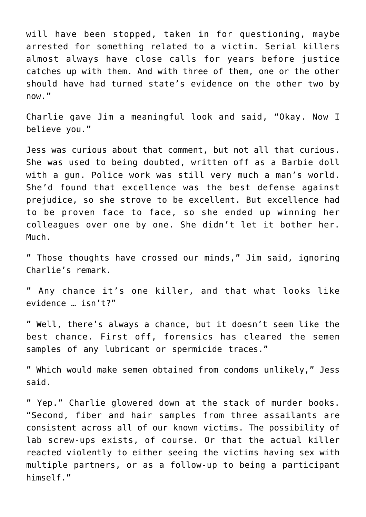will have been stopped, taken in for questioning, maybe arrested for something related to a victim. Serial killers almost always have close calls for years before justice catches up with them. And with three of them, one or the other should have had turned state's evidence on the other two by now."

Charlie gave Jim a meaningful look and said, "Okay. Now I believe you."

Jess was curious about that comment, but not all that curious. She was used to being doubted, written off as a Barbie doll with a gun. Police work was still very much a man's world. She'd found that excellence was the best defense against prejudice, so she strove to be excellent. But excellence had to be proven face to face, so she ended up winning her colleagues over one by one. She didn't let it bother her. Much.

" Those thoughts have crossed our minds," Jim said, ignoring Charlie's remark.

" Any chance it's one killer, and that what looks like evidence … isn't?"

" Well, there's always a chance, but it doesn't seem like the best chance. First off, forensics has cleared the semen samples of any lubricant or spermicide traces."

" Which would make semen obtained from condoms unlikely," Jess said.

" Yep." Charlie glowered down at the stack of murder books. "Second, fiber and hair samples from three assailants are consistent across all of our known victims. The possibility of lab screw-ups exists, of course. Or that the actual killer reacted violently to either seeing the victims having sex with multiple partners, or as a follow-up to being a participant himself."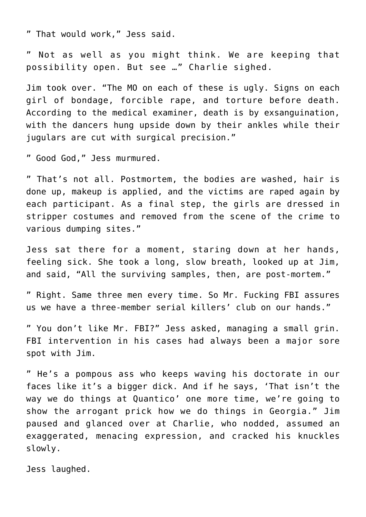" That would work," Jess said.

" Not as well as you might think. We are keeping that possibility open. But see …" Charlie sighed.

Jim took over. "The MO on each of these is ugly. Signs on each girl of bondage, forcible rape, and torture before death. According to the medical examiner, death is by exsanguination, with the dancers hung upside down by their ankles while their jugulars are cut with surgical precision."

" Good God," Jess murmured.

" That's not all. Postmortem, the bodies are washed, hair is done up, makeup is applied, and the victims are raped again by each participant. As a final step, the girls are dressed in stripper costumes and removed from the scene of the crime to various dumping sites."

Jess sat there for a moment, staring down at her hands, feeling sick. She took a long, slow breath, looked up at Jim, and said, "All the surviving samples, then, are post-mortem."

" Right. Same three men every time. So Mr. Fucking FBI assures us we have a three-member serial killers' club on our hands."

" You don't like Mr. FBI?" Jess asked, managing a small grin. FBI intervention in his cases had always been a major sore spot with Jim.

" He's a pompous ass who keeps waving his doctorate in our faces like it's a bigger dick. And if he says, 'That isn't the way we do things at Quantico' one more time, we're going to show the arrogant prick how we do things in Georgia." Jim paused and glanced over at Charlie, who nodded, assumed an exaggerated, menacing expression, and cracked his knuckles slowly.

Jess laughed.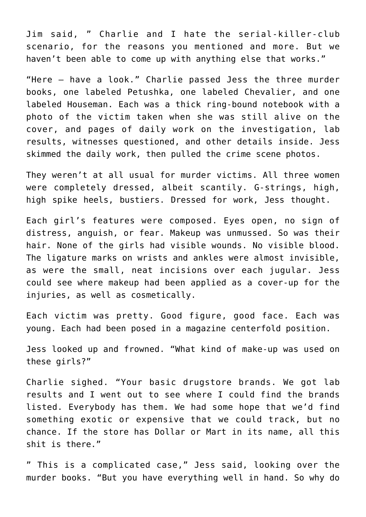Jim said, " Charlie and I hate the serial-killer-club scenario, for the reasons you mentioned and more. But we haven't been able to come up with anything else that works."

"Here — have a look." Charlie passed Jess the three murder books, one labeled Petushka, one labeled Chevalier, and one labeled Houseman. Each was a thick ring-bound notebook with a photo of the victim taken when she was still alive on the cover, and pages of daily work on the investigation, lab results, witnesses questioned, and other details inside. Jess skimmed the daily work, then pulled the crime scene photos.

They weren't at all usual for murder victims. All three women were completely dressed, albeit scantily. G-strings, high, high spike heels, bustiers. Dressed for work, Jess thought.

Each girl's features were composed. Eyes open, no sign of distress, anguish, or fear. Makeup was unmussed. So was their hair. None of the girls had visible wounds. No visible blood. The ligature marks on wrists and ankles were almost invisible, as were the small, neat incisions over each jugular. Jess could see where makeup had been applied as a cover-up for the injuries, as well as cosmetically.

Each victim was pretty. Good figure, good face. Each was young. Each had been posed in a magazine centerfold position.

Jess looked up and frowned. "What kind of make-up was used on these girls?"

Charlie sighed. "Your basic drugstore brands. We got lab results and I went out to see where I could find the brands listed. Everybody has them. We had some hope that we'd find something exotic or expensive that we could track, but no chance. If the store has Dollar or Mart in its name, all this shit is there."

" This is a complicated case," Jess said, looking over the murder books. "But you have everything well in hand. So why do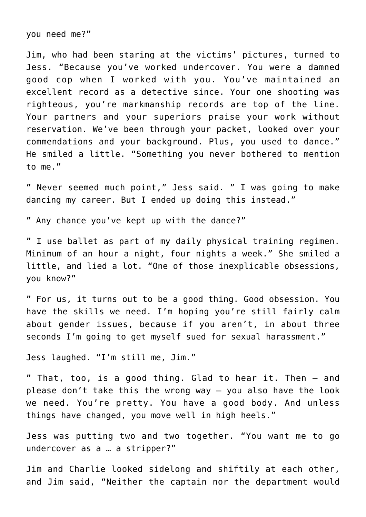you need me?"

Jim, who had been staring at the victims' pictures, turned to Jess. "Because you've worked undercover. You were a damned good cop when I worked with you. You've maintained an excellent record as a detective since. Your one shooting was righteous, you're markmanship records are top of the line. Your partners and your superiors praise your work without reservation. We've been through your packet, looked over your commendations and your background. Plus, you used to dance." He smiled a little. "Something you never bothered to mention to me."

" Never seemed much point," Jess said. " I was going to make dancing my career. But I ended up doing this instead."

" Any chance you've kept up with the dance?"

" I use ballet as part of my daily physical training regimen. Minimum of an hour a night, four nights a week." She smiled a little, and lied a lot. "One of those inexplicable obsessions, you know?"

" For us, it turns out to be a good thing. Good obsession. You have the skills we need. I'm hoping you're still fairly calm about gender issues, because if you aren't, in about three seconds I'm going to get myself sued for sexual harassment."

Jess laughed. "I'm still me, Jim."

" That, too, is a good thing. Glad to hear it. Then — and please don't take this the wrong way — you also have the look we need. You're pretty. You have a good body. And unless things have changed, you move well in high heels."

Jess was putting two and two together. "You want me to go undercover as a … a stripper?"

Jim and Charlie looked sidelong and shiftily at each other, and Jim said, "Neither the captain nor the department would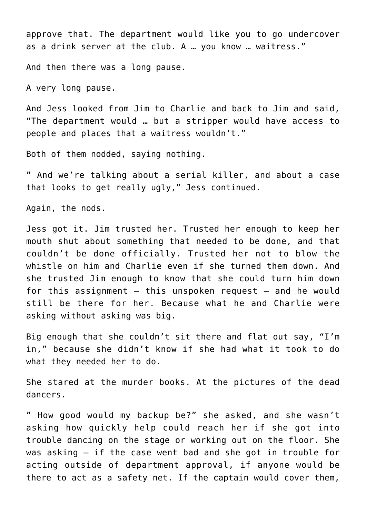approve that. The department would like you to go undercover as a drink server at the club. A … you know … waitress."

And then there was a long pause.

A very long pause.

And Jess looked from Jim to Charlie and back to Jim and said, "The department would … but a stripper would have access to people and places that a waitress wouldn't."

Both of them nodded, saying nothing.

" And we're talking about a serial killer, and about a case that looks to get really ugly," Jess continued.

Again, the nods.

Jess got it. Jim trusted her. Trusted her enough to keep her mouth shut about something that needed to be done, and that couldn't be done officially. Trusted her not to blow the whistle on him and Charlie even if she turned them down. And she trusted Jim enough to know that she could turn him down for this assignment — this unspoken request — and he would still be there for her. Because what he and Charlie were asking without asking was big.

Big enough that she couldn't sit there and flat out say, "I'm in," because she didn't know if she had what it took to do what they needed her to do.

She stared at the murder books. At the pictures of the dead dancers.

" How good would my backup be?" she asked, and she wasn't asking how quickly help could reach her if she got into trouble dancing on the stage or working out on the floor. She was asking — if the case went bad and she got in trouble for acting outside of department approval, if anyone would be there to act as a safety net. If the captain would cover them,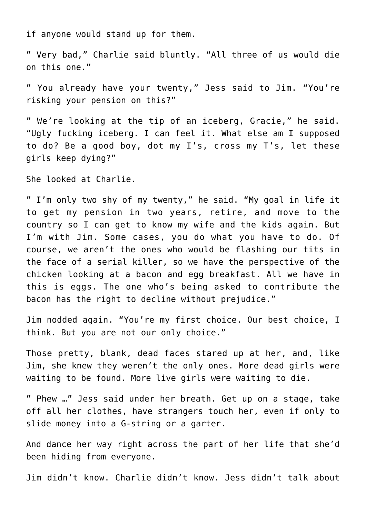if anyone would stand up for them.

" Very bad," Charlie said bluntly. "All three of us would die on this one."

" You already have your twenty," Jess said to Jim. "You're risking your pension on this?"

" We're looking at the tip of an iceberg, Gracie," he said. "Ugly fucking iceberg. I can feel it. What else am I supposed to do? Be a good boy, dot my I's, cross my T's, let these girls keep dying?"

She looked at Charlie.

" I'm only two shy of my twenty," he said. "My goal in life it to get my pension in two years, retire, and move to the country so I can get to know my wife and the kids again. But I'm with Jim. Some cases, you do what you have to do. Of course, we aren't the ones who would be flashing our tits in the face of a serial killer, so we have the perspective of the chicken looking at a bacon and egg breakfast. All we have in this is eggs. The one who's being asked to contribute the bacon has the right to decline without prejudice."

Jim nodded again. "You're my first choice. Our best choice, I think. But you are not our only choice."

Those pretty, blank, dead faces stared up at her, and, like Jim, she knew they weren't the only ones. More dead girls were waiting to be found. More live girls were waiting to die.

" Phew …" Jess said under her breath. Get up on a stage, take off all her clothes, have strangers touch her, even if only to slide money into a G-string or a garter.

And dance her way right across the part of her life that she'd been hiding from everyone.

Jim didn't know. Charlie didn't know. Jess didn't talk about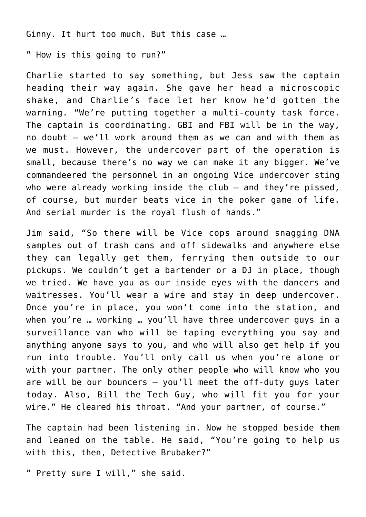Ginny. It hurt too much. But this case …

" How is this going to run?"

Charlie started to say something, but Jess saw the captain heading their way again. She gave her head a microscopic shake, and Charlie's face let her know he'd gotten the warning. "We're putting together a multi-county task force. The captain is coordinating. GBI and FBI will be in the way, no doubt — we'll work around them as we can and with them as we must. However, the undercover part of the operation is small, because there's no way we can make it any bigger. We've commandeered the personnel in an ongoing Vice undercover sting who were already working inside the club - and they're pissed, of course, but murder beats vice in the poker game of life. And serial murder is the royal flush of hands."

Jim said, "So there will be Vice cops around snagging DNA samples out of trash cans and off sidewalks and anywhere else they can legally get them, ferrying them outside to our pickups. We couldn't get a bartender or a DJ in place, though we tried. We have you as our inside eyes with the dancers and waitresses. You'll wear a wire and stay in deep undercover. Once you're in place, you won't come into the station, and when you're … working … you'll have three undercover guys in a surveillance van who will be taping everything you say and anything anyone says to you, and who will also get help if you run into trouble. You'll only call us when you're alone or with your partner. The only other people who will know who you are will be our bouncers — you'll meet the off-duty guys later today. Also, Bill the Tech Guy, who will fit you for your wire." He cleared his throat. "And your partner, of course."

The captain had been listening in. Now he stopped beside them and leaned on the table. He said, "You're going to help us with this, then, Detective Brubaker?"

" Pretty sure I will," she said.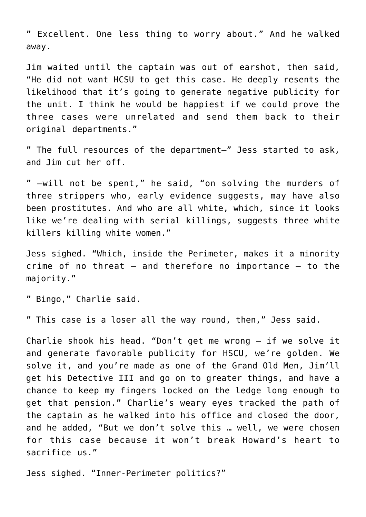" Excellent. One less thing to worry about." And he walked away.

Jim waited until the captain was out of earshot, then said, "He did not want HCSU to get this case. He deeply resents the likelihood that it's going to generate negative publicity for the unit. I think he would be happiest if we could prove the three cases were unrelated and send them back to their original departments."

" The full resources of the department–" Jess started to ask, and Jim cut her off.

" –will not be spent," he said, "on solving the murders of three strippers who, early evidence suggests, may have also been prostitutes. And who are all white, which, since it looks like we're dealing with serial killings, suggests three white killers killing white women."

Jess sighed. "Which, inside the Perimeter, makes it a minority crime of no threat — and therefore no importance — to the majority."

" Bingo," Charlie said.

" This case is a loser all the way round, then," Jess said.

Charlie shook his head. "Don't get me wrong — if we solve it and generate favorable publicity for HSCU, we're golden. We solve it, and you're made as one of the Grand Old Men, Jim'll get his Detective III and go on to greater things, and have a chance to keep my fingers locked on the ledge long enough to get that pension." Charlie's weary eyes tracked the path of the captain as he walked into his office and closed the door, and he added, "But we don't solve this … well, we were chosen for this case because it won't break Howard's heart to sacrifice us."

Jess sighed. "Inner-Perimeter politics?"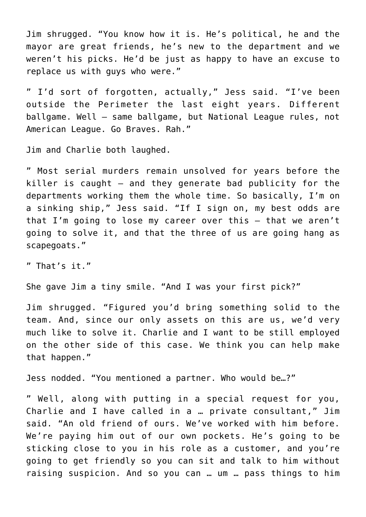Jim shrugged. "You know how it is. He's political, he and the mayor are great friends, he's new to the department and we weren't his picks. He'd be just as happy to have an excuse to replace us with guys who were."

" I'd sort of forgotten, actually," Jess said. "I've been outside the Perimeter the last eight years. Different ballgame. Well — same ballgame, but National League rules, not American League. Go Braves. Rah."

Jim and Charlie both laughed.

" Most serial murders remain unsolved for years before the killer is caught  $-$  and they generate bad publicity for the departments working them the whole time. So basically, I'm on a sinking ship," Jess said. "If I sign on, my best odds are that I'm going to lose my career over this — that we aren't going to solve it, and that the three of us are going hang as scapegoats."

" That's it."

She gave Jim a tiny smile. "And I was your first pick?"

Jim shrugged. "Figured you'd bring something solid to the team. And, since our only assets on this are us, we'd very much like to solve it. Charlie and I want to be still employed on the other side of this case. We think you can help make that happen."

Jess nodded. "You mentioned a partner. Who would be…?"

" Well, along with putting in a special request for you, Charlie and I have called in a … private consultant," Jim said. "An old friend of ours. We've worked with him before. We're paying him out of our own pockets. He's going to be sticking close to you in his role as a customer, and you're going to get friendly so you can sit and talk to him without raising suspicion. And so you can … um … pass things to him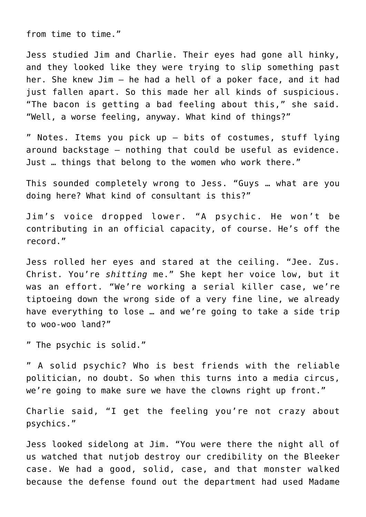from time to time."

Jess studied Jim and Charlie. Their eyes had gone all hinky, and they looked like they were trying to slip something past her. She knew Jim — he had a hell of a poker face, and it had just fallen apart. So this made her all kinds of suspicious. "The bacon is getting a bad feeling about this," she said. "Well, a worse feeling, anyway. What kind of things?"

" Notes. Items you pick up — bits of costumes, stuff lying around backstage — nothing that could be useful as evidence. Just … things that belong to the women who work there."

This sounded completely wrong to Jess. "Guys … what are you doing here? What kind of consultant is this?"

Jim's voice dropped lower. "A psychic. He won't be contributing in an official capacity, of course. He's off the record."

Jess rolled her eyes and stared at the ceiling. "Jee. Zus. Christ. You're *shitting* me." She kept her voice low, but it was an effort. "We're working a serial killer case, we're tiptoeing down the wrong side of a very fine line, we already have everything to lose … and we're going to take a side trip to woo-woo land?"

" The psychic is solid."

" A solid psychic? Who is best friends with the reliable politician, no doubt. So when this turns into a media circus, we're going to make sure we have the clowns right up front."

Charlie said, "I get the feeling you're not crazy about psychics."

Jess looked sidelong at Jim. "You were there the night all of us watched that nutjob destroy our credibility on the Bleeker case. We had a good, solid, case, and that monster walked because the defense found out the department had used Madame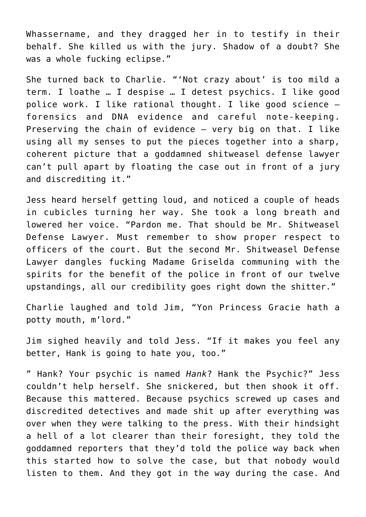Whassername, and they dragged her in to testify in their behalf. She killed us with the jury. Shadow of a doubt? She was a whole fucking eclipse."

She turned back to Charlie. "'Not crazy about' is too mild a term. I loathe … I despise … I detest psychics. I like good police work. I like rational thought. I like good science forensics and DNA evidence and careful note-keeping. Preserving the chain of evidence — very big on that. I like using all my senses to put the pieces together into a sharp, coherent picture that a goddamned shitweasel defense lawyer can't pull apart by floating the case out in front of a jury and discrediting it."

Jess heard herself getting loud, and noticed a couple of heads in cubicles turning her way. She took a long breath and lowered her voice. "Pardon me. That should be Mr. Shitweasel Defense Lawyer. Must remember to show proper respect to officers of the court. But the second Mr. Shitweasel Defense Lawyer dangles fucking Madame Griselda communing with the spirits for the benefit of the police in front of our twelve upstandings, all our credibility goes right down the shitter."

Charlie laughed and told Jim, "Yon Princess Gracie hath a potty mouth, m'lord."

Jim sighed heavily and told Jess. "If it makes you feel any better, Hank is going to hate you, too."

" Hank? Your psychic is named *Hank*? Hank the Psychic?" Jess couldn't help herself. She snickered, but then shook it off. Because this mattered. Because psychics screwed up cases and discredited detectives and made shit up after everything was over when they were talking to the press. With their hindsight a hell of a lot clearer than their foresight, they told the goddamned reporters that they'd told the police way back when this started how to solve the case, but that nobody would listen to them. And they got in the way during the case. And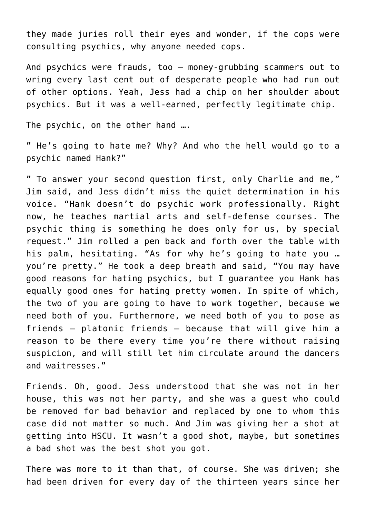they made juries roll their eyes and wonder, if the cops were consulting psychics, why anyone needed cops.

And psychics were frauds, too — money-grubbing scammers out to wring every last cent out of desperate people who had run out of other options. Yeah, Jess had a chip on her shoulder about psychics. But it was a well-earned, perfectly legitimate chip.

The psychic, on the other hand ….

" He's going to hate me? Why? And who the hell would go to a psychic named Hank?"

" To answer your second question first, only Charlie and me," Jim said, and Jess didn't miss the quiet determination in his voice. "Hank doesn't do psychic work professionally. Right now, he teaches martial arts and self-defense courses. The psychic thing is something he does only for us, by special request." Jim rolled a pen back and forth over the table with his palm, hesitating. "As for why he's going to hate you … you're pretty." He took a deep breath and said, "You may have good reasons for hating psychics, but I guarantee you Hank has equally good ones for hating pretty women. In spite of which, the two of you are going to have to work together, because we need both of you. Furthermore, we need both of you to pose as friends — platonic friends — because that will give him a reason to be there every time you're there without raising suspicion, and will still let him circulate around the dancers and waitresses."

Friends. Oh, good. Jess understood that she was not in her house, this was not her party, and she was a guest who could be removed for bad behavior and replaced by one to whom this case did not matter so much. And Jim was giving her a shot at getting into HSCU. It wasn't a good shot, maybe, but sometimes a bad shot was the best shot you got.

There was more to it than that, of course. She was driven; she had been driven for every day of the thirteen years since her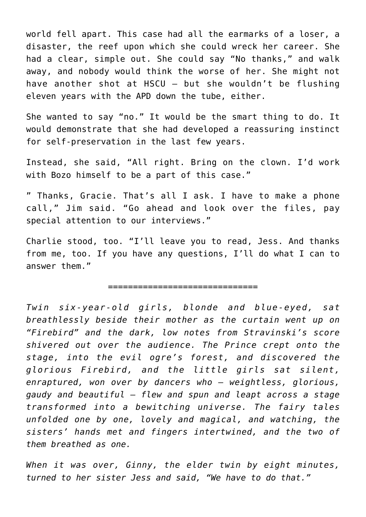world fell apart. This case had all the earmarks of a loser, a disaster, the reef upon which she could wreck her career. She had a clear, simple out. She could say "No thanks," and walk away, and nobody would think the worse of her. She might not have another shot at HSCU — but she wouldn't be flushing eleven years with the APD down the tube, either.

She wanted to say "no." It would be the smart thing to do. It would demonstrate that she had developed a reassuring instinct for self-preservation in the last few years.

Instead, she said, "All right. Bring on the clown. I'd work with Bozo himself to be a part of this case."

" Thanks, Gracie. That's all I ask. I have to make a phone call," Jim said. "Go ahead and look over the files, pay special attention to our interviews."

Charlie stood, too. "I'll leave you to read, Jess. And thanks from me, too. If you have any questions, I'll do what I can to answer them."

==============================

*Twin six-year-old girls, blonde and blue-eyed, sat breathlessly beside their mother as the curtain went up on "Firebird" and the dark, low notes from Stravinski's score shivered out over the audience. The Prince crept onto the stage, into the evil ogre's forest, and discovered the glorious Firebird, and the little girls sat silent, enraptured, won over by dancers who — weightless, glorious, gaudy and beautiful — flew and spun and leapt across a stage transformed into a bewitching universe. The fairy tales unfolded one by one, lovely and magical, and watching, the sisters' hands met and fingers intertwined, and the two of them breathed as one.*

*When it was over, Ginny, the elder twin by eight minutes, turned to her sister Jess and said, "We have to do that."*